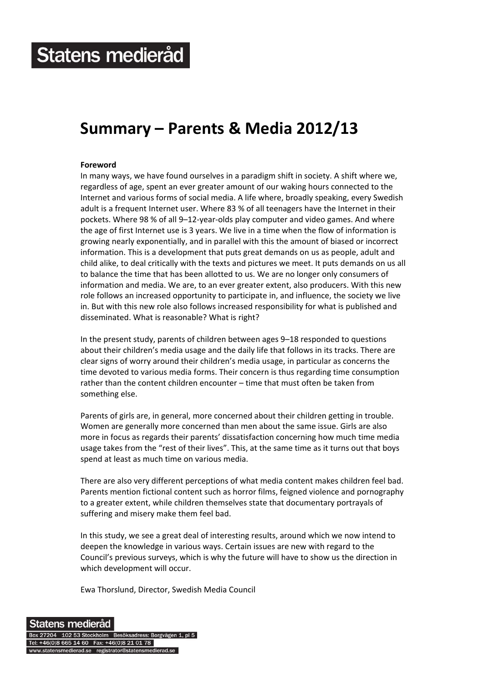# **Summary – Parents & Media 2012/13**

### **Foreword**

In many ways, we have found ourselves in a paradigm shift in society. A shift where we, regardless of age, spent an ever greater amount of our waking hours connected to the Internet and various forms of social media. A life where, broadly speaking, every Swedish adult is a frequent Internet user. Where 83 % of all teenagers have the Internet in their pockets. Where 98 % of all 9–12‐year‐olds play computer and video games. And where the age of first Internet use is 3 years. We live in a time when the flow of information is growing nearly exponentially, and in parallel with this the amount of biased or incorrect information. This is a development that puts great demands on us as people, adult and child alike, to deal critically with the texts and pictures we meet. It puts demands on us all to balance the time that has been allotted to us. We are no longer only consumers of information and media. We are, to an ever greater extent, also producers. With this new role follows an increased opportunity to participate in, and influence, the society we live in. But with this new role also follows increased responsibility for what is published and disseminated. What is reasonable? What is right?

In the present study, parents of children between ages 9–18 responded to questions about their children's media usage and the daily life that follows in its tracks. There are clear signs of worry around their children's media usage, in particular as concerns the time devoted to various media forms. Their concern is thus regarding time consumption rather than the content children encounter – time that must often be taken from something else.

Parents of girls are, in general, more concerned about their children getting in trouble. Women are generally more concerned than men about the same issue. Girls are also more in focus as regards their parents' dissatisfaction concerning how much time media usage takes from the "rest of their lives". This, at the same time as it turns out that boys spend at least as much time on various media.

There are also very different perceptions of what media content makes children feel bad. Parents mention fictional content such as horror films, feigned violence and pornography to a greater extent, while children themselves state that documentary portrayals of suffering and misery make them feel bad.

In this study, we see a great deal of interesting results, around which we now intend to deepen the knowledge in various ways. Certain issues are new with regard to the Council's previous surveys, which is why the future will have to show us the direction in which development will occur.

Ewa Thorslund, Director, Swedish Media Council

Statens medieråd Box 27204 102 53 Stockholm Besöksadress: Borgvägen 1, pl 5 Tel: +46(0)8 665 14 60 Fax: +46(0)8 21 01 78 ww.statensmedierad.se registrator@statensmedierad.se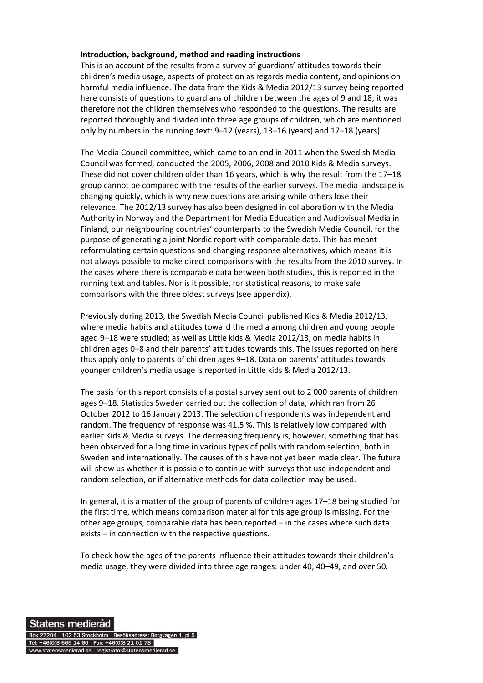#### **Introduction, background, method and reading instructions**

This is an account of the results from a survey of guardians' attitudes towards their children's media usage, aspects of protection as regards media content, and opinions on harmful media influence. The data from the Kids & Media 2012/13 survey being reported here consists of questions to guardians of children between the ages of 9 and 18; it was therefore not the children themselves who responded to the questions. The results are reported thoroughly and divided into three age groups of children, which are mentioned only by numbers in the running text: 9–12 (years), 13–16 (years) and 17–18 (years).

The Media Council committee, which came to an end in 2011 when the Swedish Media Council was formed, conducted the 2005, 2006, 2008 and 2010 Kids & Media surveys. These did not cover children older than 16 years, which is why the result from the 17–18 group cannot be compared with the results of the earlier surveys. The media landscape is changing quickly, which is why new questions are arising while others lose their relevance. The 2012/13 survey has also been designed in collaboration with the Media Authority in Norway and the Department for Media Education and Audiovisual Media in Finland, our neighbouring countries' counterparts to the Swedish Media Council, for the purpose of generating a joint Nordic report with comparable data. This has meant reformulating certain questions and changing response alternatives, which means it is not always possible to make direct comparisons with the results from the 2010 survey. In the cases where there is comparable data between both studies, this is reported in the running text and tables. Nor is it possible, for statistical reasons, to make safe comparisons with the three oldest surveys (see appendix).

Previously during 2013, the Swedish Media Council published Kids & Media 2012/13, where media habits and attitudes toward the media among children and young people aged 9–18 were studied; as well as Little kids & Media 2012/13, on media habits in children ages 0–8 and their parents' attitudes towards this. The issues reported on here thus apply only to parents of children ages 9–18. Data on parents' attitudes towards younger children's media usage is reported in Little kids & Media 2012/13.

The basis for this report consists of a postal survey sent out to 2 000 parents of children ages 9–18. Statistics Sweden carried out the collection of data, which ran from 26 October 2012 to 16 January 2013. The selection of respondents was independent and random. The frequency of response was 41.5 %. This is relatively low compared with earlier Kids & Media surveys. The decreasing frequency is, however, something that has been observed for a long time in various types of polls with random selection, both in Sweden and internationally. The causes of this have not yet been made clear. The future will show us whether it is possible to continue with surveys that use independent and random selection, or if alternative methods for data collection may be used.

In general, it is a matter of the group of parents of children ages 17–18 being studied for the first time, which means comparison material for this age group is missing. For the other age groups, comparable data has been reported – in the cases where such data exists – in connection with the respective questions.

To check how the ages of the parents influence their attitudes towards their children's media usage, they were divided into three age ranges: under 40, 40–49, and over 50.

Statens medieråd Box 27204 102 53 Stockholm Besöksadress: Borgvägen 1, pl 5 Tel: +46(0)8 665 14 60 Fax: +46(0)8 21 01 78 ww.statensmedierad.se registrator@statensmedierad.se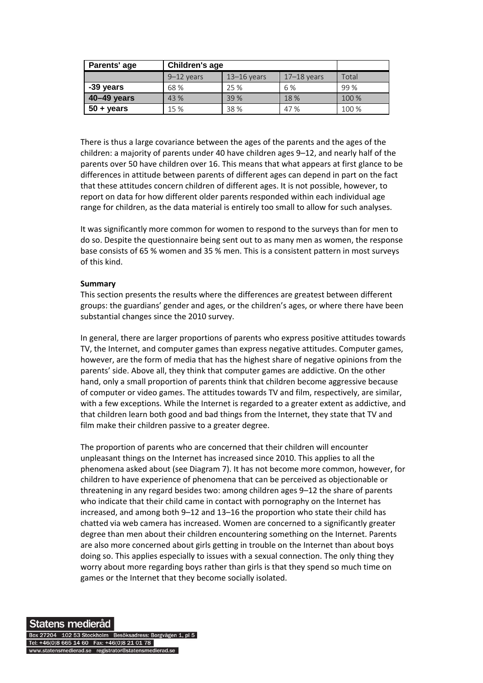| Parents' age        | Children's age |               |                 |       |
|---------------------|----------------|---------------|-----------------|-------|
|                     | $9-12$ years   | $13-16$ years | $17 - 18$ vears | Total |
| -39 years           | 68 %           | 25 %          | 6 %             | 99 %  |
| 40-49 years         | 43 %           | 39 %          | 18 %            | 100 % |
| $50 + \text{years}$ | 15 %           | 38 %          | 47%             | 100 % |

There is thus a large covariance between the ages of the parents and the ages of the children: a majority of parents under 40 have children ages 9–12, and nearly half of the parents over 50 have children over 16. This means that what appears at first glance to be differences in attitude between parents of different ages can depend in part on the fact that these attitudes concern children of different ages. It is not possible, however, to report on data for how different older parents responded within each individual age range for children, as the data material is entirely too small to allow for such analyses.

It was significantly more common for women to respond to the surveys than for men to do so. Despite the questionnaire being sent out to as many men as women, the response base consists of 65 % women and 35 % men. This is a consistent pattern in most surveys of this kind.

#### **Summary**

This section presents the results where the differences are greatest between different groups: the guardians' gender and ages, or the children's ages, or where there have been substantial changes since the 2010 survey.

In general, there are larger proportions of parents who express positive attitudes towards TV, the Internet, and computer games than express negative attitudes. Computer games, however, are the form of media that has the highest share of negative opinions from the parents' side. Above all, they think that computer games are addictive. On the other hand, only a small proportion of parents think that children become aggressive because of computer or video games. The attitudes towards TV and film, respectively, are similar, with a few exceptions. While the Internet is regarded to a greater extent as addictive, and that children learn both good and bad things from the Internet, they state that TV and film make their children passive to a greater degree.

The proportion of parents who are concerned that their children will encounter unpleasant things on the Internet has increased since 2010. This applies to all the phenomena asked about (see Diagram 7). It has not become more common, however, for children to have experience of phenomena that can be perceived as objectionable or threatening in any regard besides two: among children ages 9–12 the share of parents who indicate that their child came in contact with pornography on the Internet has increased, and among both 9–12 and 13–16 the proportion who state their child has chatted via web camera has increased. Women are concerned to a significantly greater degree than men about their children encountering something on the Internet. Parents are also more concerned about girls getting in trouble on the Internet than about boys doing so. This applies especially to issues with a sexual connection. The only thing they worry about more regarding boys rather than girls is that they spend so much time on games or the Internet that they become socially isolated.

## Statens medieråd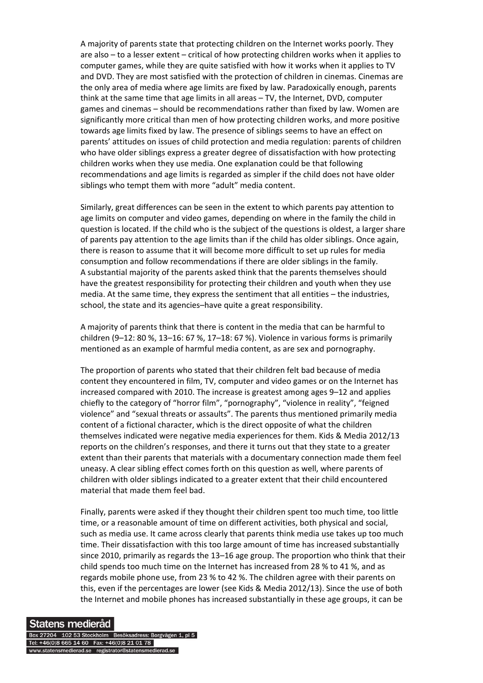A majority of parents state that protecting children on the Internet works poorly. They are also – to a lesser extent – critical of how protecting children works when it applies to computer games, while they are quite satisfied with how it works when it applies to TV and DVD. They are most satisfied with the protection of children in cinemas. Cinemas are the only area of media where age limits are fixed by law. Paradoxically enough, parents think at the same time that age limits in all areas – TV, the Internet, DVD, computer games and cinemas – should be recommendations rather than fixed by law. Women are significantly more critical than men of how protecting children works, and more positive towards age limits fixed by law. The presence of siblings seems to have an effect on parents' attitudes on issues of child protection and media regulation: parents of children who have older siblings express a greater degree of dissatisfaction with how protecting children works when they use media. One explanation could be that following recommendations and age limits is regarded as simpler if the child does not have older siblings who tempt them with more "adult" media content.

Similarly, great differences can be seen in the extent to which parents pay attention to age limits on computer and video games, depending on where in the family the child in question is located. If the child who is the subject of the questions is oldest, a larger share of parents pay attention to the age limits than if the child has older siblings. Once again, there is reason to assume that it will become more difficult to set up rules for media consumption and follow recommendations if there are older siblings in the family. A substantial majority of the parents asked think that the parents themselves should have the greatest responsibility for protecting their children and youth when they use media. At the same time, they express the sentiment that all entities – the industries, school, the state and its agencies–have quite a great responsibility.

A majority of parents think that there is content in the media that can be harmful to children (9–12: 80 %, 13–16: 67 %, 17–18: 67 %). Violence in various forms is primarily mentioned as an example of harmful media content, as are sex and pornography.

The proportion of parents who stated that their children felt bad because of media content they encountered in film, TV, computer and video games or on the Internet has increased compared with 2010. The increase is greatest among ages 9–12 and applies chiefly to the category of "horror film", "pornography", "violence in reality", "feigned violence" and "sexual threats or assaults". The parents thus mentioned primarily media content of a fictional character, which is the direct opposite of what the children themselves indicated were negative media experiences for them. Kids & Media 2012/13 reports on the children's responses, and there it turns out that they state to a greater extent than their parents that materials with a documentary connection made them feel uneasy. A clear sibling effect comes forth on this question as well, where parents of children with older siblings indicated to a greater extent that their child encountered material that made them feel bad.

Finally, parents were asked if they thought their children spent too much time, too little time, or a reasonable amount of time on different activities, both physical and social, such as media use. It came across clearly that parents think media use takes up too much time. Their dissatisfaction with this too large amount of time has increased substantially since 2010, primarily as regards the 13–16 age group. The proportion who think that their child spends too much time on the Internet has increased from 28 % to 41 %, and as regards mobile phone use, from 23 % to 42 %. The children agree with their parents on this, even if the percentages are lower (see Kids & Media 2012/13). Since the use of both the Internet and mobile phones has increased substantially in these age groups, it can be

#### Statens medieråd

Box 27204 102 53 Stockholm Besöksadress: Borgvägen 1, pl 5 Tel: +46(0)8 665 14 60 Fax: +46(0)8 21 01 78 ww.statensmedierad.se registrator@statensmedierad.se